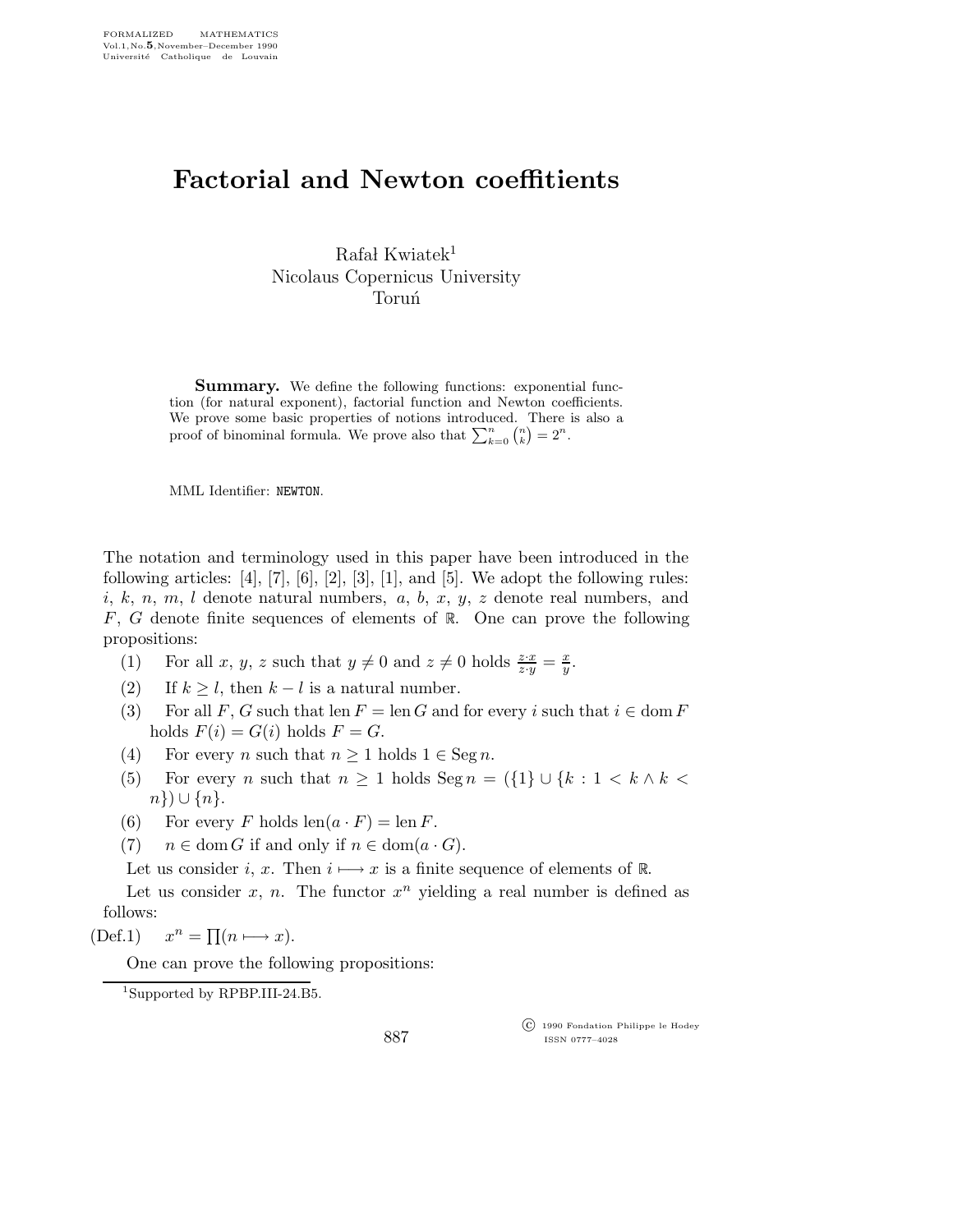## Factorial and Newton coeffitients

 $Rafal Kwiatek<sup>1</sup>$ Nicolaus Copernicus University **Torun**<sup>1</sup>

**Summary.** We define the following functions: exponential function (for natural exponent), factorial function and Newton coefficients. We prove some basic properties of notions introduced. There is also a proof of binominal formula. We prove also that  $\sum_{k=0}^{n} {n \choose k} = 2^{n}$ .

MML Identifier: NEWTON.

The notation and terminology used in this paper have been introduced in the following articles:  $[4]$ ,  $[7]$ ,  $[6]$ ,  $[2]$ ,  $[3]$ ,  $[1]$ , and  $[5]$ . We adopt the following rules:  $i, k, n, m, l$  denote natural numbers,  $a, b, x, y, z$  denote real numbers, and F, G denote finite sequences of elements of  $\mathbb{R}$ . One can prove the following propositions:

- (1) For all x, y, z such that  $y \neq 0$  and  $z \neq 0$  holds  $\frac{z \cdot x}{z \cdot y} = \frac{x}{y}$  $\frac{x}{y}$ .
- (2) If  $k \geq l$ , then  $k l$  is a natural number.
- (3) For all F, G such that len  $F = \text{len } G$  and for every i such that  $i \in \text{dom } F$ holds  $F(i) = G(i)$  holds  $F = G$ .
- (4) For every n such that  $n \geq 1$  holds  $1 \in \text{Seg } n$ .
- (5) For every n such that  $n \geq 1$  holds  $\text{Seg } n = (\{1\} \cup \{k : 1 \leq k \land k \leq k\})$  $n\})\cup\{n\}.$
- (6) For every F holds  $len(a \cdot F) = len F$ .
- (7)  $n \in \text{dom } G$  if and only if  $n \in \text{dom}(a \cdot G)$ .

Let us consider i, x. Then  $i \mapsto x$  is a finite sequence of elements of  $\mathbb{R}$ .

Let us consider  $x$ ,  $n$ . The functor  $x^n$  yielding a real number is defined as follows:

 $(Def.1)$  $n = \prod(n \longmapsto x).$ 

One can prove the following propositions:

<sup>1</sup>Supported by RPBP.III-24.B5.

887

 c 1990 Fondation Philippe le Hodey ISSN 0777–4028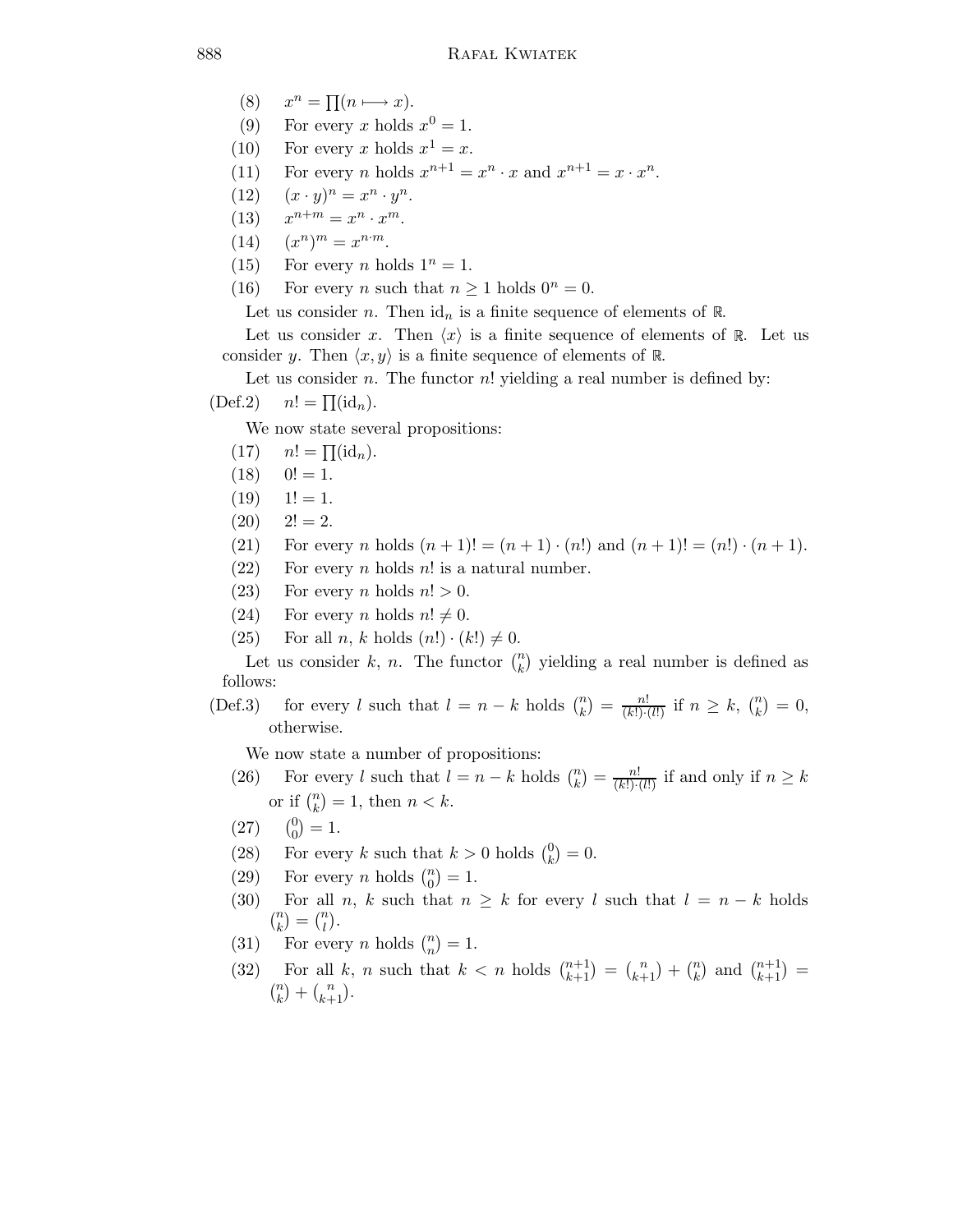- $(8)$  $n = \prod(n \longmapsto x).$
- (9) For every x holds  $x^0 = 1$ .
- (10) For every x holds  $x^1 = x$ .
- (11) For every *n* holds  $x^{n+1} = x^n \cdot x$  and  $x^{n+1} = x \cdot x^n$ .
- (12)  $(x \cdot y)^n = x^n \cdot y^n$ .
- $(13)$  $n+m = x^n \cdot x^m.$
- $(14)$  $(n)^m = x^{n \cdot m}.$
- (15) For every *n* holds  $1^n = 1$ .
- (16) For every *n* such that  $n \ge 1$  holds  $0^n = 0$ .

Let us consider n. Then  $\mathrm{id}_n$  is a finite sequence of elements of R.

Let us consider x. Then  $\langle x \rangle$  is a finite sequence of elements of R. Let us consider y. Then  $\langle x,y \rangle$  is a finite sequence of elements of R.

Let us consider n. The functor  $n!$  yielding a real number is defined by:  $(\text{Def.2})$   $n! = \prod(\text{id}_n).$ 

We now state several propositions:

- $(17)$   $n! = \prod(\mathrm{id}_n).$
- $(18)$   $0! = 1.$
- $(19)$   $1! = 1.$
- $(20)$   $2! = 2.$
- (21) For every *n* holds  $(n + 1)! = (n + 1) \cdot (n!)$  and  $(n + 1)! = (n!) \cdot (n + 1)$ .
- $(22)$  For every *n* holds *n*! is a natural number.
- (23) For every *n* holds  $n! > 0$ .
- (24) For every *n* holds  $n! \neq 0$ .
- (25) For all n, k holds  $(n!) \cdot (k!) \neq 0$ .

Let us consider k, n. The functor  $\binom{n}{k}$  yielding a real number is defined as follows:

(Def.3) for every l such that  $l = n - k$  holds  $\binom{n}{k} = \frac{n!}{(k!) \cdot (l!)}$  if  $n \geq k$ ,  $\binom{n}{k} = 0$ , otherwise.

We now state a number of propositions:

- (26) For every l such that  $l = n k$  holds  $\binom{n}{k} = \frac{n!}{(k!) \cdot (l!)}$  if and only if  $n \geq k$ or if  $\binom{n}{k} = 1$ , then  $n < k$ .
- (27)  $\boldsymbol{0}$  $_{0}^{0})=1.$
- (28) For every k such that  $k > 0$  holds  $\binom{0}{k}$  $\binom{0}{k} = 0.$
- (29) For every *n* holds  $\binom{n}{0} = 1$ .
- (30) For all n, k such that  $n \geq k$  for every l such that  $l = n k$  holds  $\binom{n}{k} = \binom{n}{l}.$
- (31) For every *n* holds  $\binom{n}{n} = 1$ .
- (32) For all k, n such that  $k < n$  holds  $\binom{n+1}{k+1} = \binom{n}{k+1} + \binom{n}{k}$  and  $\binom{n+1}{k+1} =$  $\binom{n}{k} + \binom{n}{k+1}.$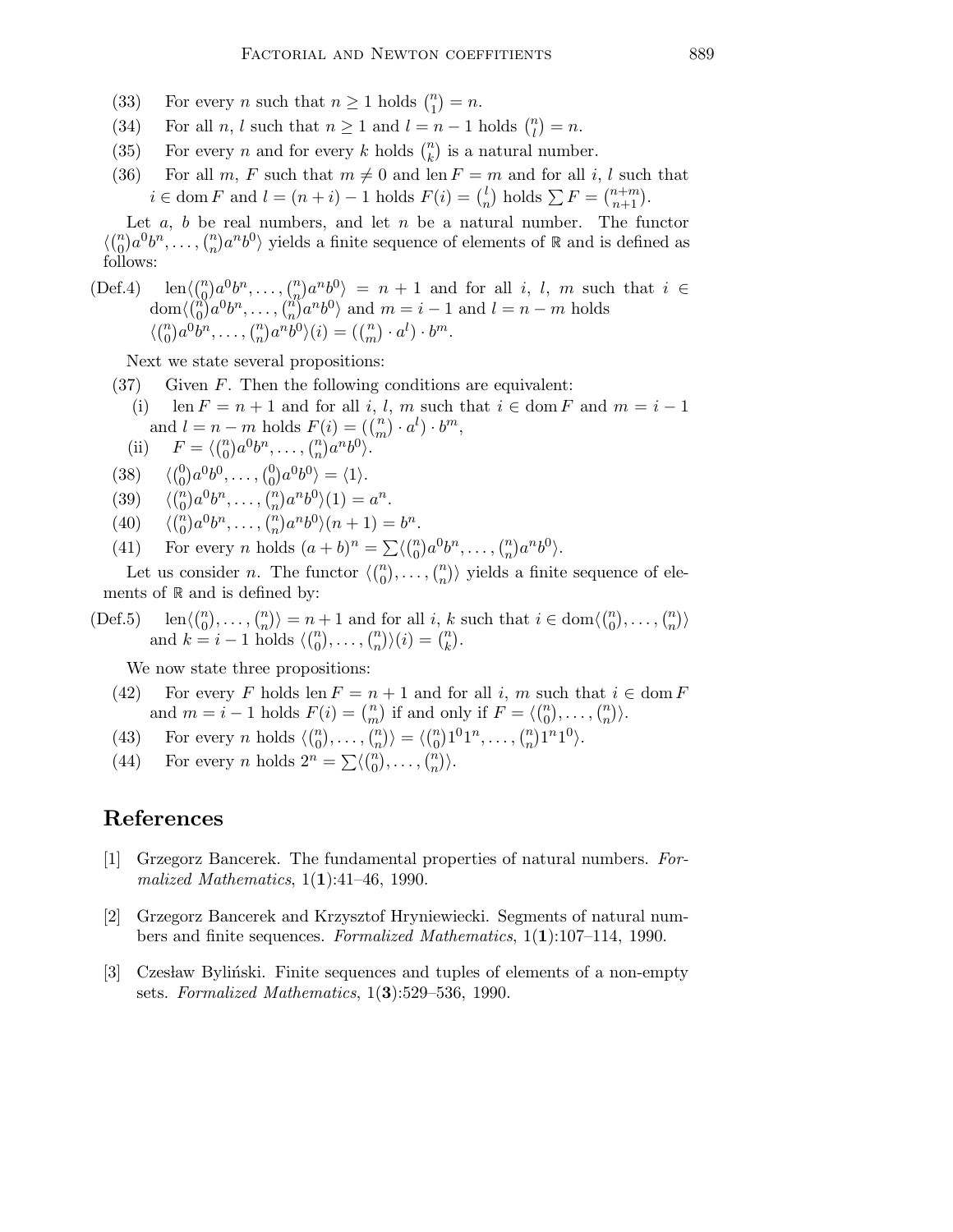- (33) For every *n* such that  $n \ge 1$  holds  $\binom{n}{1} = n$ .
- (34) For all *n*, *l* such that  $n \ge 1$  and  $l = n 1$  holds  $\binom{n}{l} = n$ .
- (35) For every *n* and for every *k* holds  $\binom{n}{k}$  is a natural number.
- (36) For all  $m, F$  such that  $m \neq 0$  and len  $F = m$  and for all i, l such that  $i \in \text{dom } F$  and  $l = (n + i) - 1$  holds  $F(i) = \binom{l}{n}$  $\binom{l}{n}$  holds  $\sum F = \binom{n+m}{n+1}$ .

Let  $a, b$  be real numbers, and let  $n$  be a natural number. The functor  $\langle {n \choose 0} a^0 b^n, \ldots, {n \choose n} a^n b^0 \rangle$  yields a finite sequence of elements of  $\mathbb R$  and is defined as follows:

(Def.4) 
$$
\text{len}\langle {n \choose 0} a^0 b^n, \ldots, {n \choose n} a^n b^0 \rangle = n + 1
$$
 and for all  $i, l, m$  such that  $i \in \text{dom}\langle {n \choose 0} a^0 b^n, \ldots, {n \choose n} a^n b^0 \rangle$  and  $m = i - 1$  and  $l = n - m$  holds  $\langle {n \choose 0} a^0 b^n, \ldots, {n \choose n} a^n b^0 \rangle(i) = ({n \choose m} \cdot a^l) \cdot b^m.$ 

Next we state several propositions:

- $(37)$  Given F. Then the following conditions are equivalent:
	- (i) len  $F = n + 1$  and for all i, l, m such that  $i \in \text{dom } F$  and  $m = i 1$ and  $l = n - m$  holds  $F(i) = ((m \choose m) \cdot a^l) \cdot b^m$ ,

(ii) 
$$
F = \langle {n \choose 0} a^0 b^n, \ldots, {n \choose n} a^n b^0 \rangle.
$$

- $(38)$  ${0 \choose 0} a^0 b^0, \dots, {0 \choose 0} a^0 b^0 \rangle = \langle 1 \rangle.$
- (39)  $\langle {n \choose 0} a^0 b^n, \dots, {n \choose n} a^n b^0 \rangle(1) = a^n.$
- $(40)$  $\binom{n}{0}a^{0}b^{n}, \ldots, \binom{n}{n}a^{n}b^{0}\rangle(n+1) = b^{n}.$
- (41) For every *n* holds  $(a+b)^n = \sum \langle {n \choose 0} a^0 b^n, \dots, {n \choose n} a^n b^0 \rangle$ .

Let us consider *n*. The functor  $\langle {n \choose 0}, \ldots, {n \choose n} \rangle$  yields a finite sequence of elements of  $R$  and is defined by:

(Def.5) 
$$
\operatorname{len}\langle\binom{n}{0},\ldots,\binom{n}{n}\rangle = n+1
$$
 and for all  $i, k$  such that  $i \in \operatorname{dom}\langle\binom{n}{0},\ldots,\binom{n}{n}\rangle$  and  $k = i-1$  holds  $\langle\binom{n}{0},\ldots,\binom{n}{n}\rangle(i) = \binom{n}{k}$ .

We now state three propositions:

- (42) For every F holds len  $F = n + 1$  and for all i, m such that  $i \in \text{dom } F$ and  $m = i - 1$  holds  $F(i) = \binom{n}{m}$  if and only if  $F = \langle \binom{n}{0}, \ldots, \binom{n}{n} \rangle$ .
- (43) For every *n* holds  $\langle \binom{n}{0}, \dots, \binom{n}{n} \rangle = \langle \binom{n}{0} 1^0 1^n, \dots, \binom{n}{n} 1^n 1^0 \rangle$ .
- (44) For every *n* holds  $2^n = \sum \langle {n \choose 0}, \dots, {n \choose n} \rangle$ .

## References

- [1] Grzegorz Bancerek. The fundamental properties of natural numbers. Formalized Mathematics,  $1(1):41-46$ , 1990.
- [2] Grzegorz Bancerek and Krzysztof Hryniewiecki. Segments of natural numbers and finite sequences. Formalized Mathematics, 1(1):107–114, 1990.
- [3] Czesław Byliński. Finite sequences and tuples of elements of a non-empty sets. Formalized Mathematics,  $1(3):529-536$ , 1990.